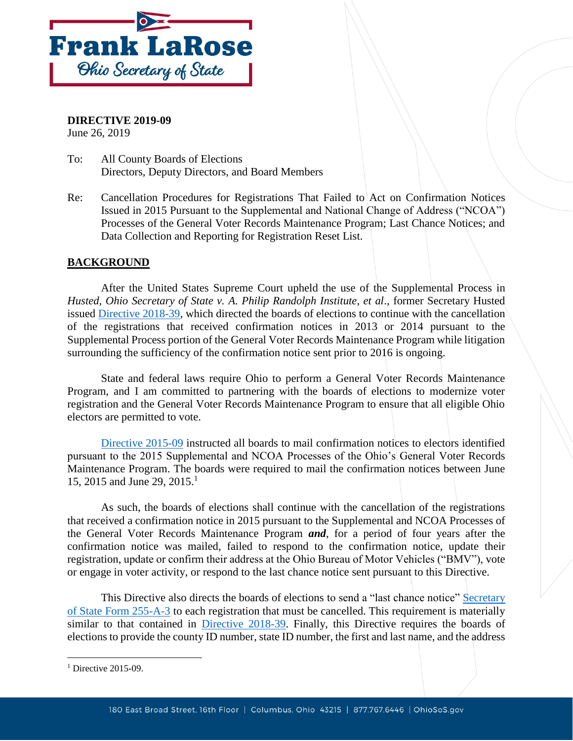

**DIRECTIVE 2019-09** June 26, 2019

- To: All County Boards of Elections Directors, Deputy Directors, and Board Members
- Re: Cancellation Procedures for Registrations That Failed to Act on Confirmation Notices Issued in 2015 Pursuant to the Supplemental and National Change of Address ("NCOA") Processes of the General Voter Records Maintenance Program; Last Chance Notices; and Data Collection and Reporting for Registration Reset List.

## **BACKGROUND**

After the United States Supreme Court upheld the use of the Supplemental Process in *Husted, Ohio Secretary of State v. A. Philip Randolph Institute, et al*., former Secretary Husted issued [Directive 2018-39,](https://www.sos.state.oh.us/globalassets/elections/directives/2018/dir2018-39.pdf) which directed the boards of elections to continue with the cancellation of the registrations that received confirmation notices in 2013 or 2014 pursuant to the Supplemental Process portion of the General Voter Records Maintenance Program while litigation surrounding the sufficiency of the confirmation notice sent prior to 2016 is ongoing.

State and federal laws require Ohio to perform a General Voter Records Maintenance Program, and I am committed to partnering with the boards of elections to modernize voter registration and the General Voter Records Maintenance Program to ensure that all eligible Ohio electors are permitted to vote.

[Directive 2015-09](https://www.sos.state.oh.us/globalassets/elections/directives/2015/dir2015-09.pdf) instructed all boards to mail confirmation notices to electors identified pursuant to the 2015 Supplemental and NCOA Processes of the Ohio's General Voter Records Maintenance Program. The boards were required to mail the confirmation notices between June 15, 2015 and June 29, 2015.<sup>1</sup>

As such, the boards of elections shall continue with the cancellation of the registrations that received a confirmation notice in 2015 pursuant to the Supplemental and NCOA Processes of the General Voter Records Maintenance Program *and*, for a period of four years after the confirmation notice was mailed, failed to respond to the confirmation notice, update their registration, update or confirm their address at the Ohio Bureau of Motor Vehicles ("BMV"), vote or engage in voter activity, or respond to the last chance notice sent pursuant to this Directive.

This Directive also directs the boards of elections to send a "last chance notice" [Secretary](https://www.sos.state.oh.us/globalassets/elections/forms/255-a-3.pdf)  [of State Form 255-A-3](https://www.sos.state.oh.us/globalassets/elections/forms/255-a-3.pdf) to each registration that must be cancelled. This requirement is materially similar to that contained in [Directive 2018-39.](https://www.sos.state.oh.us/globalassets/elections/directives/2018/dir2018-39.pdf) Finally, this Directive requires the boards of elections to provide the county ID number, state ID number, the first and last name, and the address

 $\overline{\phantom{a}}$ 

<sup>&</sup>lt;sup>1</sup> Directive 2015-09.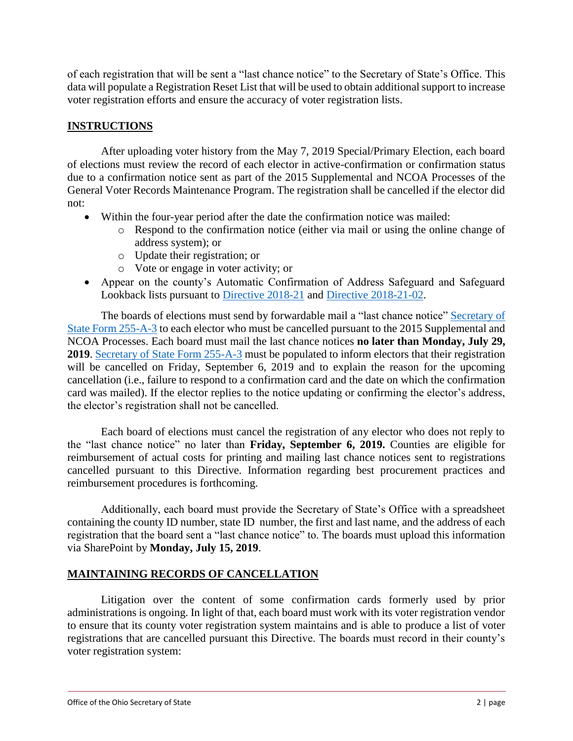of each registration that will be sent a "last chance notice" to the Secretary of State's Office. This data will populate a Registration Reset List that will be used to obtain additional support to increase voter registration efforts and ensure the accuracy of voter registration lists.

## **INSTRUCTIONS**

After uploading voter history from the May 7, 2019 Special/Primary Election, each board of elections must review the record of each elector in active-confirmation or confirmation status due to a confirmation notice sent as part of the 2015 Supplemental and NCOA Processes of the General Voter Records Maintenance Program. The registration shall be cancelled if the elector did not:

- Within the four-year period after the date the confirmation notice was mailed:
	- o Respond to the confirmation notice (either via mail or using the online change of address system); or
	- o Update their registration; or
	- o Vote or engage in voter activity; or
- Appear on the county's Automatic Confirmation of Address Safeguard and Safeguard Lookback lists pursuant to [Directive 2018-21](https://www.sos.state.oh.us/globalassets/elections/directives/2018/dir2018-21.pdf) and [Directive 2018-21-02.](https://www.sos.state.oh.us/globalassets/elections/directives/2018/dir2018-21-2.pdf)

The boards of elections must send by forwardable mail a "last chance notice" Secretary of [State Form 255-A-3](https://www.sos.state.oh.us/globalassets/elections/forms/255-a-3.pdf) to each elector who must be cancelled pursuant to the 2015 Supplemental and NCOA Processes. Each board must mail the last chance notices **no later than Monday, July 29, 2019**. [Secretary of State Form 255-A-3](https://www.sos.state.oh.us/globalassets/elections/forms/255-a-3.pdf) must be populated to inform electors that their registration will be cancelled on Friday, September 6, 2019 and to explain the reason for the upcoming cancellation (i.e., failure to respond to a confirmation card and the date on which the confirmation card was mailed). If the elector replies to the notice updating or confirming the elector's address, the elector's registration shall not be cancelled.

Each board of elections must cancel the registration of any elector who does not reply to the "last chance notice" no later than **Friday, September 6, 2019.** Counties are eligible for reimbursement of actual costs for printing and mailing last chance notices sent to registrations cancelled pursuant to this Directive. Information regarding best procurement practices and reimbursement procedures is forthcoming.

Additionally, each board must provide the Secretary of State's Office with a spreadsheet containing the county ID number, state ID number, the first and last name, and the address of each registration that the board sent a "last chance notice" to. The boards must upload this information via SharePoint by **Monday, July 15, 2019**.

## **MAINTAINING RECORDS OF CANCELLATION**

Litigation over the content of some confirmation cards formerly used by prior administrations is ongoing. In light of that, each board must work with its voter registration vendor to ensure that its county voter registration system maintains and is able to produce a list of voter registrations that are cancelled pursuant this Directive. The boards must record in their county's voter registration system: